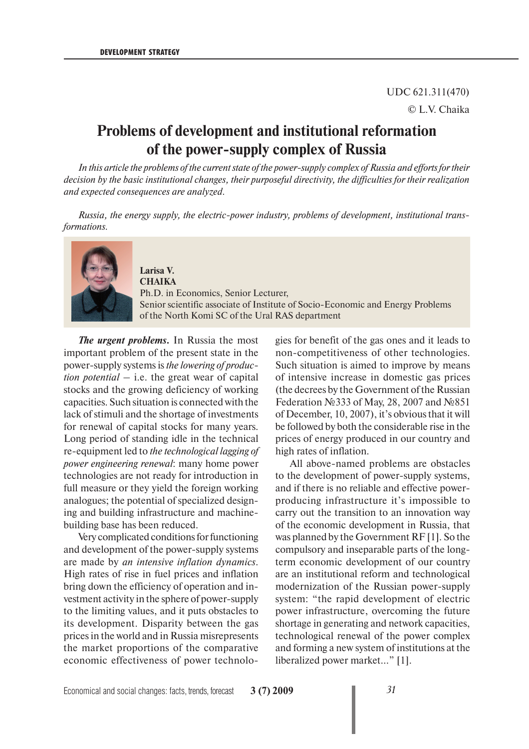## UDC 621.311(470) © L.V. Chaika

# **Problems of development and institutional reformation of the power-supply complex of Russia**

*In this article the problems of the current state of the power-supply complex of Russia and efforts for their decision by the basic institutional changes, their purposeful directivity, the difficulties for their realization and expected consequences are analyzed.*

*Russia, the energy supply, the electric-power industry, problems of development, institutional transformations.*



#### **Larisa V. CHAIKA**

Ph.D. in Economics, Senior Lecturer, Senior scientific associate of Institute of Socio-Economic and Energy Problems of the North Komi SC of the Ural RAS department

*The urgent problems***.** In Russia the most important problem of the present state in the power-supply systems is *the lowering of production potential* – i.e. the great wear of capital stocks and the growing deficiency of working capacities. Such situation is connected with the lack of stimuli and the shortage of investments for renewal of capital stocks for many years. Long period of standing idle in the technical re-equipment led to *the technological lagging of power engineering renewal*: many home power technologies are not ready for introduction in full measure or they yield the foreign working analogues; the potential of specialized designing and building infrastructure and machinebuilding base has been reduced.

Very complicated conditions for functioning and development of the power-supply systems are made by *an intensive inflation dynamics*. High rates of rise in fuel prices and inflation bring down the efficiency of operation and investment activity in the sphere of power-supply to the limiting values, and it puts obstacles to its development. Disparity between the gas prices in the world and in Russia misrepresents the market proportions of the comparative economic effectiveness of power technologies for benefit of the gas ones and it leads to non-competitiveness of other technologies. Such situation is aimed to improve by means of intensive increase in domestic gas prices (the decrees by the Government of the Russian Federation №333 of May, 28, 2007 and №851 of December, 10, 2007), it's obvious that it will be followed by both the considerable rise in the prices of energy produced in our country and high rates of inflation.

All above-named problems are obstacles to the development of power-supply systems, and if there is no reliable and effective powerproducing infrastructure it's impossible to carry out the transition to an innovation way of the economic development in Russia, that was planned by the Government RF [1]. So the compulsory and inseparable parts of the longterm economic development of our country are an institutional reform and technological modernization of the Russian power-supply system: "the rapid development of electric power infrastructure, overcoming the future shortage in generating and network capacities, technological renewal of the power complex and forming a new system of institutions at the liberalized power market…" [1].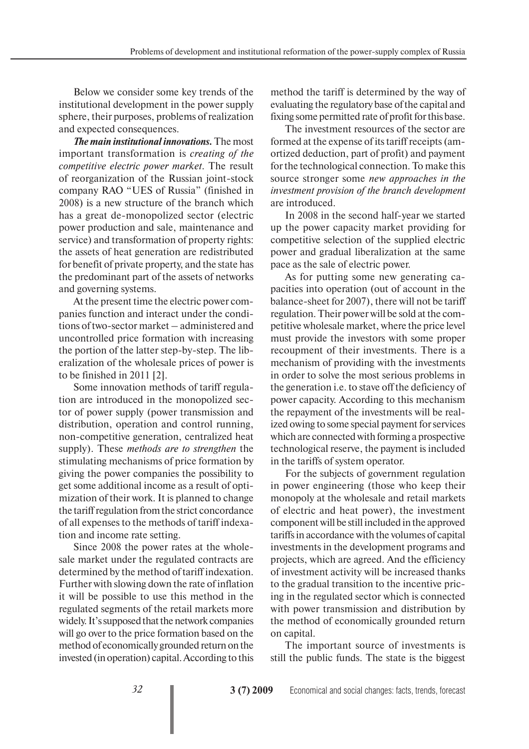Below we consider some key trends of the institutional development in the power supply sphere, their purposes, problems of realization and expected consequences.

*The main institutional innovations.* The most important transformation is *creating of the competitive electric power market*. The result of reorganization of the Russian joint-stock company RAO "UES of Russia" (finished in 2008) is a new structure of the branch which has a great de-monopolized sector (electric power production and sale, maintenance and service) and transformation of property rights: the assets of heat generation are redistributed for benefit of private property, and the state has the predominant part of the assets of networks and governing systems.

At the present time the electric power companies function and interact under the conditions of two-sector market – administered and uncontrolled price formation with increasing the portion of the latter step-by-step. The liberalization of the wholesale prices of power is to be finished in 2011 [2].

Some innovation methods of tariff regulation are introduced in the monopolized sector of power supply (power transmission and distribution, operation and control running, non-competitive generation, centralized heat supply). These *methods are to strengthen* the stimulating mechanisms of price formation by giving the power companies the possibility to get some additional income as a result of optimization of their work. It is planned to change the tariff regulation from the strict concordance of all expenses to the methods of tariff indexation and income rate setting.

Since 2008 the power rates at the wholesale market under the regulated contracts are determined by the method of tariff indexation. Further with slowing down the rate of inflation it will be possible to use this method in the regulated segments of the retail markets more widely. It's supposed that the network companies will go over to the price formation based on the method of economically grounded return on the invested (in operation) capital. According to this method the tariff is determined by the way of evaluating the regulatory base of the capital and fixing some permitted rate of profit for this base.

The investment resources of the sector are formed at the expense of its tariff receipts (amortized deduction, part of profit) and payment for the technological connection. To make this source stronger some *new approaches in the investment provision of the branch development* are introduced.

In 2008 in the second half-year we started up the power capacity market providing for competitive selection of the supplied electric power and gradual liberalization at the same pace as the sale of electric power.

As for putting some new generating capacities into operation (out of account in the balance-sheet for 2007), there will not be tariff regulation. Their power will be sold at the competitive wholesale market, where the price level must provide the investors with some proper recoupment of their investments. There is a mechanism of providing with the investments in order to solve the most serious problems in the generation i.e. to stave off the deficiency of power capacity. According to this mechanism the repayment of the investments will be realized owing to some special payment for services which are connected with forming a prospective technological reserve, the payment is included in the tariffs of system operator.

For the subjects of government regulation in power engineering (those who keep their monopoly at the wholesale and retail markets of electric and heat power), the investment component will be still included in the approved tariffs in accordance with the volumes of capital investments in the development programs and projects, which are agreed. And the efficiency of investment activity will be increased thanks to the gradual transition to the incentive pricing in the regulated sector which is connected with power transmission and distribution by the method of economically grounded return on capital.

The important source of investments is still the public funds. The state is the biggest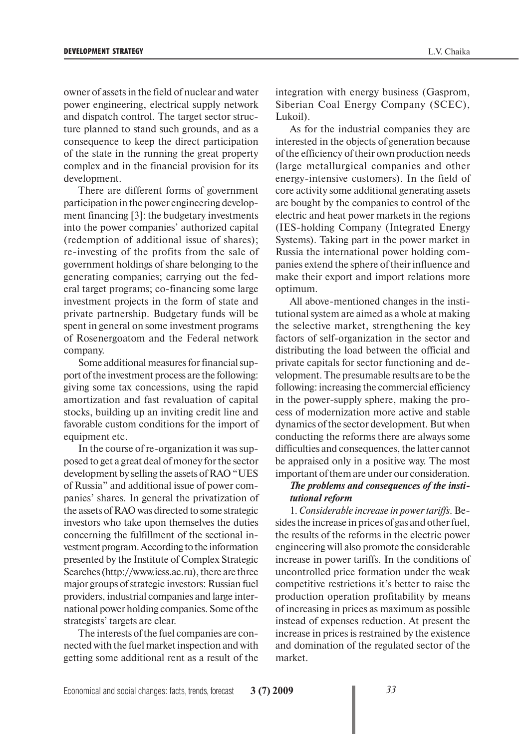owner of assets in the field of nuclear and water power engineering, electrical supply network and dispatch control. The target sector structure planned to stand such grounds, and as a consequence to keep the direct participation of the state in the running the great property complex and in the financial provision for its development.

There are different forms of government participation in the power engineering development financing [3]: the budgetary investments into the power companies' authorized capital (redemption of additional issue of shares); re-investing of the profits from the sale of government holdings of share belonging to the generating companies; carrying out the federal target programs; co-financing some large investment projects in the form of state and private partnership. Budgetary funds will be spent in general on some investment programs of Rosenergoatom and the Federal network company.

Some additional measures for financial support of the investment process are the following: giving some tax concessions, using the rapid amortization and fast revaluation of capital stocks, building up an inviting credit line and favorable custom conditions for the import of equipment etc.

In the course of re-organization it was supposed to get a great deal of money for the sector development by selling the assets of RAO "UES of Russia" and additional issue of power companies' shares. In general the privatization of the assets of RAO was directed to some strategic investors who take upon themselves the duties concerning the fulfillment of the sectional investment program. According to the information presented by the Institute of Complex Strategic Searches (http://www.icss.ac.ru), there are three major groups of strategic investors: Russian fuel providers, industrial companies and large international power holding companies. Some of the strategists' targets are clear.

The interests of the fuel companies are connected with the fuel market inspection and with getting some additional rent as a result of the

integration with energy business (Gasprom, Siberian Coal Energy Company (SCEC), Lukoil).

As for the industrial companies they are interested in the objects of generation because of the efficiency of their own production needs (large metallurgical companies and other energy-intensive customers). In the field of core activity some additional generating assets are bought by the companies to control of the electric and heat power markets in the regions (IES-holding Company (Integrated Energy Systems). Taking part in the power market in Russia the international power holding companies extend the sphere of their influence and make their export and import relations more optimum.

All above-mentioned changes in the institutional system are aimed as a whole at making the selective market, strengthening the key factors of self-organization in the sector and distributing the load between the official and private capitals for sector functioning and development. The presumable results are to be the following: increasing the commercial efficiency in the power-supply sphere, making the process of modernization more active and stable dynamics of the sector development. But when conducting the reforms there are always some difficulties and consequences, the latter cannot be appraised only in a positive way. The most important of them are under our consideration.

## *The problems and consequences of the institutional reform*

1*. Considerable increase in power tariffs*. Besides the increase in prices of gas and other fuel, the results of the reforms in the electric power engineering will also promote the considerable increase in power tariffs. In the conditions of uncontrolled price formation under the weak competitive restrictions it's better to raise the production operation profitability by means of increasing in prices as maximum as possible instead of expenses reduction. At present the increase in prices is restrained by the existence and domination of the regulated sector of the market.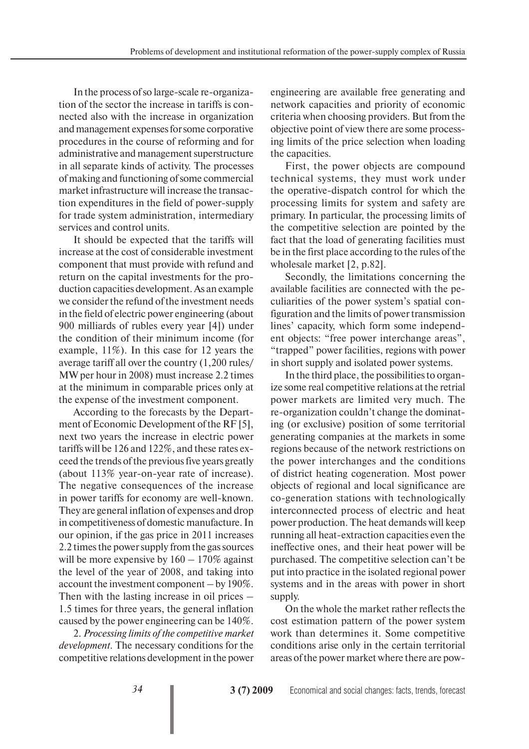In the process of so large-scale re-organization of the sector the increase in tariffs is connected also with the increase in organization and management expenses for some corporative procedures in the course of reforming and for administrative and management superstructure in all separate kinds of activity. The processes of making and functioning of some commercial market infrastructure will increase the transaction expenditures in the field of power-supply for trade system administration, intermediary services and control units.

It should be expected that the tariffs will increase at the cost of considerable investment component that must provide with refund and return on the capital investments for the production capacities development. As an example we consider the refund of the investment needs in the field of electric power engineering (about 900 milliards of rubles every year [4]) under the condition of their minimum income (for example, 11%). In this case for 12 years the average tariff all over the country (1,200 rules/ MW per hour in 2008) must increase 2.2 times at the minimum in comparable prices only at the expense of the investment component.

According to the forecasts by the Department of Economic Development of the RF [5], next two years the increase in electric power tariffs will be 126 and 122%, and these rates exceed the trends of the previous five years greatly (about 113% year-on-year rate of increase). The negative consequences of the increase in power tariffs for economy are well-known. They are general inflation of expenses and drop in competitiveness of domestic manufacture. In our opinion, if the gas price in 2011 increases 2.2 times the power supply from the gas sources will be more expensive by  $160 - 170\%$  against the level of the year of 2008, and taking into account the investment component – by 190%. Then with the lasting increase in oil prices – 1.5 times for three years, the general inflation caused by the power engineering can be 140%.

2. *Processing limits of the competitive market development*. The necessary conditions for the competitive relations development in the power

engineering are available free generating and network capacities and priority of economic criteria when choosing providers. But from the objective point of view there are some processing limits of the price selection when loading the capacities.

First, the power objects are compound technical systems, they must work under the operative-dispatch control for which the processing limits for system and safety are primary. In particular, the processing limits of the competitive selection are pointed by the fact that the load of generating facilities must be in the first place according to the rules of the wholesale market [2, p.82].

Secondly, the limitations concerning the available facilities are connected with the peculiarities of the power system's spatial configuration and the limits of power transmission lines' capacity, which form some independent objects: "free power interchange areas", "trapped" power facilities, regions with power in short supply and isolated power systems.

In the third place, the possibilities to organize some real competitive relations at the retrial power markets are limited very much. The re-organization couldn't change the dominating (or exclusive) position of some territorial generating companies at the markets in some regions because of the network restrictions on the power interchanges and the conditions of district heating cogeneration. Most power objects of regional and local significance are co-generation stations with technologically interconnected process of electric and heat power production. The heat demands will keep running all heat-extraction capacities even the ineffective ones, and their heat power will be purchased. The competitive selection can't be put into practice in the isolated regional power systems and in the areas with power in short supply.

On the whole the market rather reflects the cost estimation pattern of the power system work than determines it. Some competitive conditions arise only in the certain territorial areas of the power market where there are pow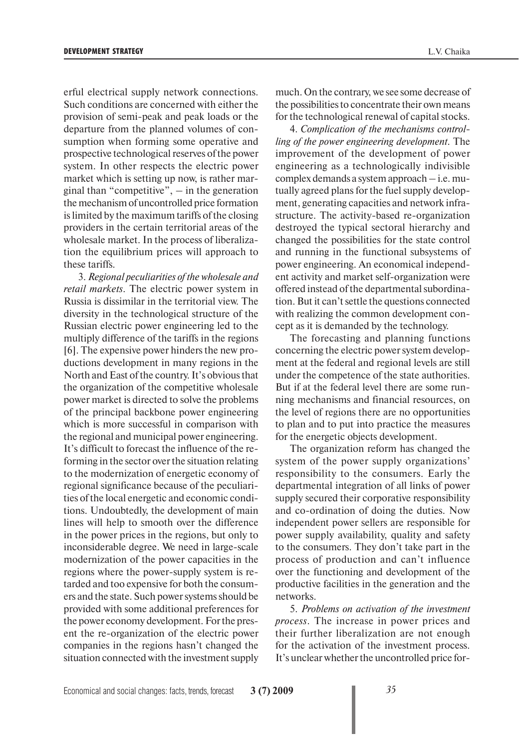erful electrical supply network connections. Such conditions are concerned with either the provision of semi-peak and peak loads or the departure from the planned volumes of consumption when forming some operative and prospective technological reserves of the power system. In other respects the electric power market which is setting up now, is rather marginal than "competitive",  $-$  in the generation the mechanism of uncontrolled price formation is limited by the maximum tariffs of the closing providers in the certain territorial areas of the wholesale market. In the process of liberalization the equilibrium prices will approach to these tariffs.

3. *Regional peculiarities of the wholesale and retail markets*. The electric power system in Russia is dissimilar in the territorial view. The diversity in the technological structure of the Russian electric power engineering led to the multiply difference of the tariffs in the regions [6]. The expensive power hinders the new productions development in many regions in the North and East of the country. It's obvious that the organization of the competitive wholesale power market is directed to solve the problems of the principal backbone power engineering which is more successful in comparison with the regional and municipal power engineering. It's difficult to forecast the influence of the reforming in the sector over the situation relating to the modernization of energetic economy of regional significance because of the peculiarities of the local energetic and economic conditions. Undoubtedly, the development of main lines will help to smooth over the difference in the power prices in the regions, but only to inconsiderable degree. We need in large-scale modernization of the power capacities in the regions where the power-supply system is retarded and too expensive for both the consumers and the state. Such power systems should be provided with some additional preferences for the power economy development. For the present the re-organization of the electric power companies in the regions hasn't changed the situation connected with the investment supply

much. On the contrary, we see some decrease of the possibilities to concentrate their own means for the technological renewal of capital stocks.

4. *Complication of the mechanisms controlling of the power engineering development*. The improvement of the development of power engineering as a technologically indivisible complex demands a system approach – i.e. mutually agreed plans for the fuel supply development, generating capacities and network infrastructure. The activity-based re-organization destroyed the typical sectoral hierarchy and changed the possibilities for the state control and running in the functional subsystems of power engineering. An economical independent activity and market self-organization were offered instead of the departmental subordination. But it can't settle the questions connected with realizing the common development concept as it is demanded by the technology.

The forecasting and planning functions concerning the electric power system development at the federal and regional levels are still under the competence of the state authorities. But if at the federal level there are some running mechanisms and financial resources, on the level of regions there are no opportunities to plan and to put into practice the measures for the energetic objects development.

The organization reform has changed the system of the power supply organizations' responsibility to the consumers. Early the departmental integration of all links of power supply secured their corporative responsibility and co-ordination of doing the duties. Now independent power sellers are responsible for power supply availability, quality and safety to the consumers. They don't take part in the process of production and can't influence over the functioning and development of the productive facilities in the generation and the networks.

5. *Problems on activation of the investment process*. The increase in power prices and their further liberalization are not enough for the activation of the investment process. It's unclear whether the uncontrolled price for-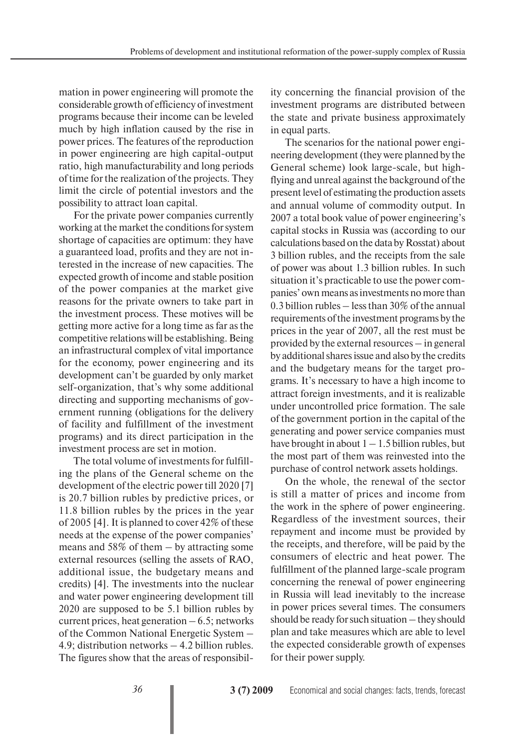mation in power engineering will promote the considerable growth of efficiency of investment programs because their income can be leveled much by high inflation caused by the rise in power prices. The features of the reproduction in power engineering are high capital-output ratio, high manufacturability and long periods of time for the realization of the projects. They limit the circle of potential investors and the possibility to attract loan capital.

For the private power companies currently working at the market the conditions for system shortage of capacities are optimum: they have a guaranteed load, profits and they are not interested in the increase of new capacities. The expected growth of income and stable position of the power companies at the market give reasons for the private owners to take part in the investment process. These motives will be getting more active for a long time as far as the competitive relations will be establishing. Being an infrastructural complex of vital importance for the economy, power engineering and its development can't be guarded by only market self-organization, that's why some additional directing and supporting mechanisms of government running (obligations for the delivery of facility and fulfillment of the investment programs) and its direct participation in the investment process are set in motion.

The total volume of investments for fulfilling the plans of the General scheme on the development of the electric power till 2020 [7] is 20.7 billion rubles by predictive prices, or 11.8 billion rubles by the prices in the year of 2005 [4]. It is planned to cover 42% of these needs at the expense of the power companies' means and 58% of them – by attracting some external resources (selling the assets of RAO, additional issue, the budgetary means and credits) [4]. The investments into the nuclear and water power engineering development till 2020 are supposed to be 5.1 billion rubles by current prices, heat generation  $-6.5$ ; networks of the Common National Energetic System – 4.9; distribution networks – 4.2 billion rubles. The figures show that the areas of responsibility concerning the financial provision of the investment programs are distributed between the state and private business approximately in equal parts.

The scenarios for the national power engineering development (they were planned by the General scheme) look large-scale, but highflying and unreal against the background of the present level of estimating the production assets and annual volume of commodity output. In 2007 a total book value of power engineering's capital stocks in Russia was (according to our calculations based on the data by Rosstat) about 3 billion rubles, and the receipts from the sale of power was about 1.3 billion rubles. In such situation it's practicable to use the power companies' own means as investments no more than 0.3 billion rubles – less than 30% of the annual requirements of the investment programs by the prices in the year of 2007, all the rest must be provided by the external resources – in general by additional shares issue and also by the credits and the budgetary means for the target programs. It's necessary to have a high income to attract foreign investments, and it is realizable under uncontrolled price formation. The sale of the government portion in the capital of the generating and power service companies must have brought in about  $1 - 1.5$  billion rubles, but the most part of them was reinvested into the purchase of control network assets holdings.

On the whole, the renewal of the sector is still a matter of prices and income from the work in the sphere of power engineering. Regardless of the investment sources, their repayment and income must be provided by the receipts, and therefore, will be paid by the consumers of electric and heat power. The fulfillment of the planned large-scale program concerning the renewal of power engineering in Russia will lead inevitably to the increase in power prices several times. The consumers should be ready for such situation – they should plan and take measures which are able to level the expected considerable growth of expenses for their power supply.